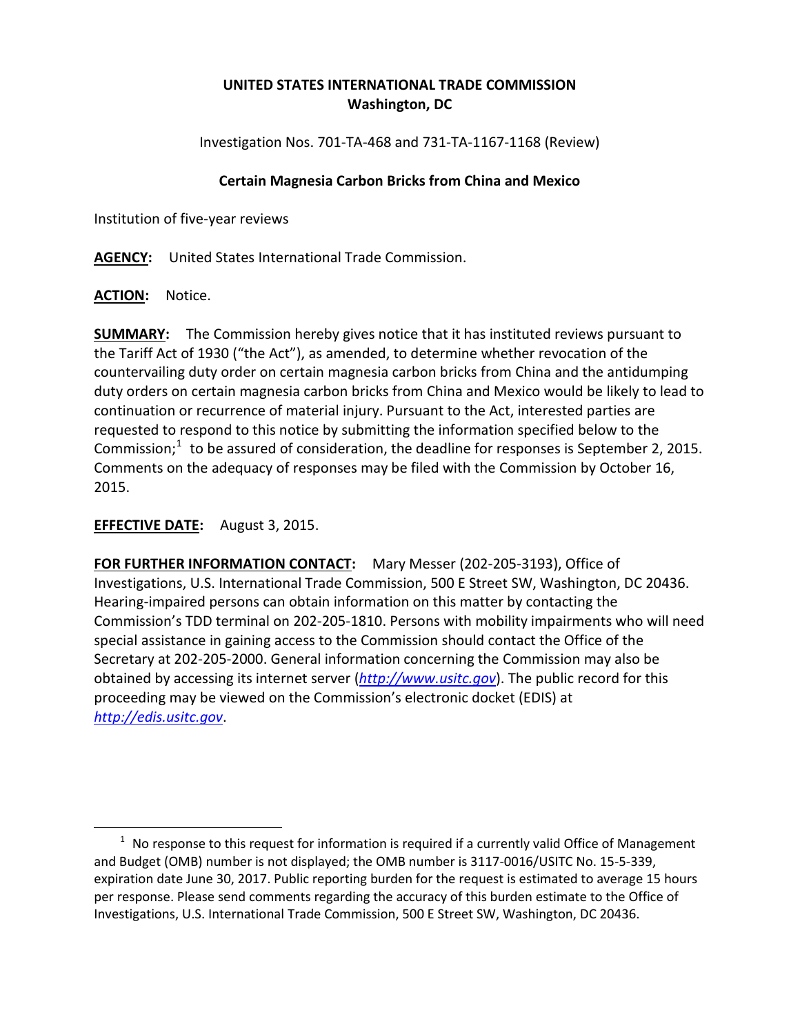# **UNITED STATES INTERNATIONAL TRADE COMMISSION Washington, DC**

Investigation Nos. 701-TA-468 and 731-TA-1167-1168 (Review)

### **Certain Magnesia Carbon Bricks from China and Mexico**

Institution of five-year reviews

**AGENCY:** United States International Trade Commission.

#### **ACTION:** Notice.

 $\overline{a}$ 

**SUMMARY:** The Commission hereby gives notice that it has instituted reviews pursuant to the Tariff Act of 1930 ("the Act"), as amended, to determine whether revocation of the countervailing duty order on certain magnesia carbon bricks from China and the antidumping duty orders on certain magnesia carbon bricks from China and Mexico would be likely to lead to continuation or recurrence of material injury. Pursuant to the Act, interested parties are requested to respond to this notice by submitting the information specified below to the Commission; $1$  to be assured of consideration, the deadline for responses is September 2, 2015. Comments on the adequacy of responses may be filed with the Commission by October 16, 2015.

## **EFFECTIVE DATE:** August 3, 2015.

**FOR FURTHER INFORMATION CONTACT:** Mary Messer (202-205-3193), Office of Investigations, U.S. International Trade Commission, 500 E Street SW, Washington, DC 20436. Hearing-impaired persons can obtain information on this matter by contacting the Commission's TDD terminal on 202-205-1810. Persons with mobility impairments who will need special assistance in gaining access to the Commission should contact the Office of the Secretary at 202-205-2000. General information concerning the Commission may also be obtained by accessing its internet server (*[http://www.usitc.gov](http://www.usitc.gov/)*). The public record for this proceeding may be viewed on the Commission's electronic docket (EDIS) at *[http://edis.usitc.gov](http://edis.usitc.gov/)*.

<span id="page-0-0"></span> $1$  No response to this request for information is required if a currently valid Office of Management and Budget (OMB) number is not displayed; the OMB number is 3117-0016/USITC No. 15-5-339, expiration date June 30, 2017. Public reporting burden for the request is estimated to average 15 hours per response. Please send comments regarding the accuracy of this burden estimate to the Office of Investigations, U.S. International Trade Commission, 500 E Street SW, Washington, DC 20436.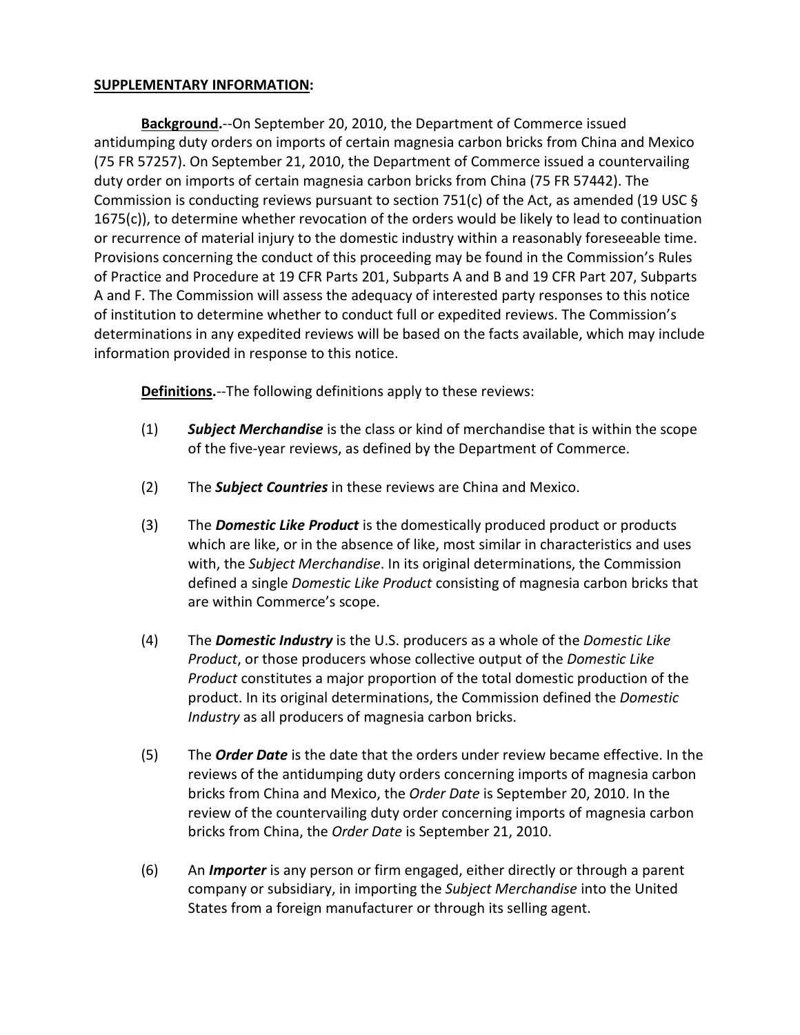#### **SUPPLEMENTARY INFORMATION:**

**Background.**--On September 20, 2010, the Department of Commerce issued antidumping duty orders on imports of certain magnesia carbon bricks from China and Mexico (75 FR 57257). On September 21, 2010, the Department of Commerce issued a countervailing duty order on imports of certain magnesia carbon bricks from China (75 FR 57442). The Commission is conducting reviews pursuant to section 751(c) of the Act, as amended (19 USC § 1675(c)), to determine whether revocation of the orders would be likely to lead to continuation or recurrence of material injury to the domestic industry within a reasonably foreseeable time. Provisions concerning the conduct of this proceeding may be found in the Commission's Rules of Practice and Procedure at 19 CFR Parts 201, Subparts A and B and 19 CFR Part 207, Subparts A and F. The Commission will assess the adequacy of interested party responses to this notice of institution to determine whether to conduct full or expedited reviews. The Commission's determinations in any expedited reviews will be based on the facts available, which may include information provided in response to this notice.

**Definitions.**--The following definitions apply to these reviews:

- (1) *Subject Merchandise* is the class or kind of merchandise that is within the scope of the five-year reviews, as defined by the Department of Commerce.
- (2) The *Subject Countries* in these reviews are China and Mexico.
- (3) The *Domestic Like Product* is the domestically produced product or products which are like, or in the absence of like, most similar in characteristics and uses with, the *Subject Merchandise*. In its original determinations, the Commission defined a single *Domestic Like Product* consisting of magnesia carbon bricks that are within Commerce's scope.
- (4) The *Domestic Industry* is the U.S. producers as a whole of the *Domestic Like Product*, or those producers whose collective output of the *Domestic Like Product* constitutes a major proportion of the total domestic production of the product. In its original determinations, the Commission defined the *Domestic Industry* as all producers of magnesia carbon bricks.
- (5) The *Order Date* is the date that the orders under review became effective. In the reviews of the antidumping duty orders concerning imports of magnesia carbon bricks from China and Mexico, the *Order Date* is September 20, 2010. In the review of the countervailing duty order concerning imports of magnesia carbon bricks from China, the *Order Date* is September 21, 2010.
- (6) An *Importer* is any person or firm engaged, either directly or through a parent company or subsidiary, in importing the *Subject Merchandise* into the United States from a foreign manufacturer or through its selling agent.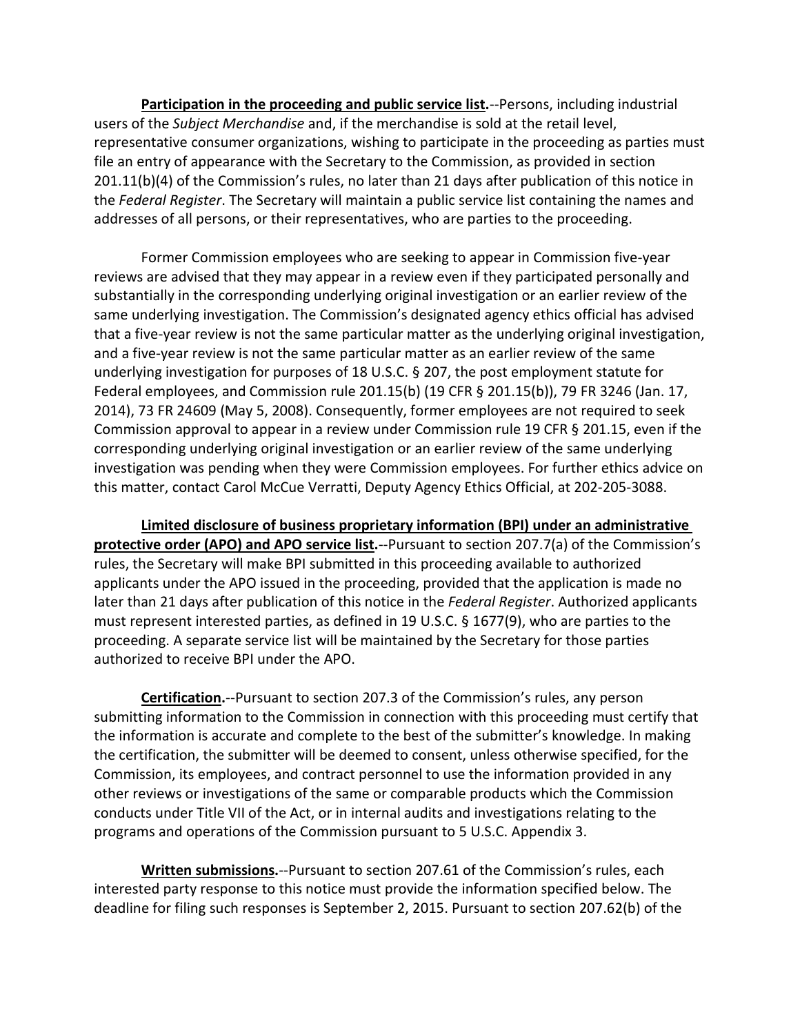**Participation in the proceeding and public service list.**--Persons, including industrial users of the *Subject Merchandise* and, if the merchandise is sold at the retail level, representative consumer organizations, wishing to participate in the proceeding as parties must file an entry of appearance with the Secretary to the Commission, as provided in section 201.11(b)(4) of the Commission's rules, no later than 21 days after publication of this notice in the *Federal Register*. The Secretary will maintain a public service list containing the names and addresses of all persons, or their representatives, who are parties to the proceeding.

Former Commission employees who are seeking to appear in Commission five-year reviews are advised that they may appear in a review even if they participated personally and substantially in the corresponding underlying original investigation or an earlier review of the same underlying investigation. The Commission's designated agency ethics official has advised that a five-year review is not the same particular matter as the underlying original investigation, and a five-year review is not the same particular matter as an earlier review of the same underlying investigation for purposes of 18 U.S.C. § 207, the post employment statute for Federal employees, and Commission rule 201.15(b) (19 CFR § 201.15(b)), 79 FR 3246 (Jan. 17, 2014), 73 FR 24609 (May 5, 2008). Consequently, former employees are not required to seek Commission approval to appear in a review under Commission rule 19 CFR § 201.15, even if the corresponding underlying original investigation or an earlier review of the same underlying investigation was pending when they were Commission employees. For further ethics advice on this matter, contact Carol McCue Verratti, Deputy Agency Ethics Official, at 202-205-3088.

**Limited disclosure of business proprietary information (BPI) under an administrative protective order (APO) and APO service list.**--Pursuant to section 207.7(a) of the Commission's rules, the Secretary will make BPI submitted in this proceeding available to authorized applicants under the APO issued in the proceeding, provided that the application is made no later than 21 days after publication of this notice in the *Federal Register*. Authorized applicants must represent interested parties, as defined in 19 U.S.C. § 1677(9), who are parties to the proceeding. A separate service list will be maintained by the Secretary for those parties authorized to receive BPI under the APO.

**Certification.**--Pursuant to section 207.3 of the Commission's rules, any person submitting information to the Commission in connection with this proceeding must certify that the information is accurate and complete to the best of the submitter's knowledge. In making the certification, the submitter will be deemed to consent, unless otherwise specified, for the Commission, its employees, and contract personnel to use the information provided in any other reviews or investigations of the same or comparable products which the Commission conducts under Title VII of the Act, or in internal audits and investigations relating to the programs and operations of the Commission pursuant to 5 U.S.C. Appendix 3.

**Written submissions.**--Pursuant to section 207.61 of the Commission's rules, each interested party response to this notice must provide the information specified below. The deadline for filing such responses is September 2, 2015. Pursuant to section 207.62(b) of the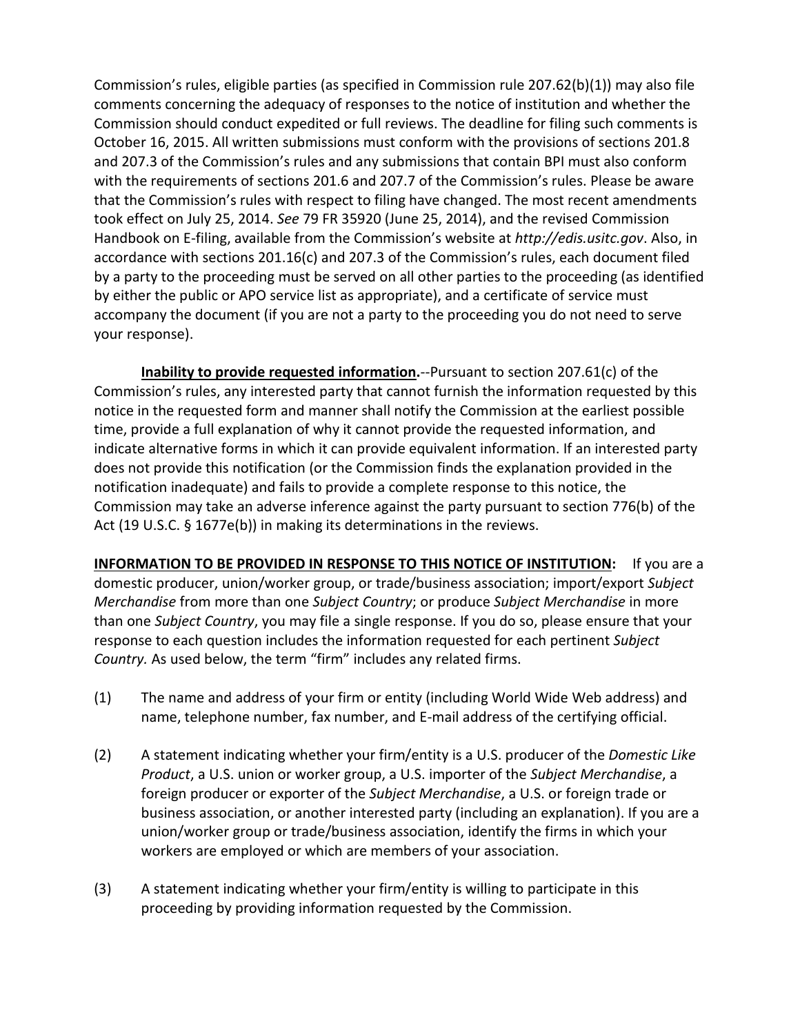Commission's rules, eligible parties (as specified in Commission rule 207.62(b)(1)) may also file comments concerning the adequacy of responses to the notice of institution and whether the Commission should conduct expedited or full reviews. The deadline for filing such comments is October 16, 2015. All written submissions must conform with the provisions of sections 201.8 and 207.3 of the Commission's rules and any submissions that contain BPI must also conform with the requirements of sections 201.6 and 207.7 of the Commission's rules. Please be aware that the Commission's rules with respect to filing have changed. The most recent amendments took effect on July 25, 2014. *See* 79 FR 35920 (June 25, 2014), and the revised Commission Handbook on E-filing, available from the Commission's website at *http://edis.usitc.gov*. Also, in accordance with sections 201.16(c) and 207.3 of the Commission's rules, each document filed by a party to the proceeding must be served on all other parties to the proceeding (as identified by either the public or APO service list as appropriate), and a certificate of service must accompany the document (if you are not a party to the proceeding you do not need to serve your response).

**Inability to provide requested information.**--Pursuant to section 207.61(c) of the Commission's rules, any interested party that cannot furnish the information requested by this notice in the requested form and manner shall notify the Commission at the earliest possible time, provide a full explanation of why it cannot provide the requested information, and indicate alternative forms in which it can provide equivalent information. If an interested party does not provide this notification (or the Commission finds the explanation provided in the notification inadequate) and fails to provide a complete response to this notice, the Commission may take an adverse inference against the party pursuant to section 776(b) of the Act (19 U.S.C. § 1677e(b)) in making its determinations in the reviews.

**INFORMATION TO BE PROVIDED IN RESPONSE TO THIS NOTICE OF INSTITUTION:** If you are a domestic producer, union/worker group, or trade/business association; import/export *Subject Merchandise* from more than one *Subject Country*; or produce *Subject Merchandise* in more than one *Subject Country*, you may file a single response. If you do so, please ensure that your response to each question includes the information requested for each pertinent *Subject Country.* As used below, the term "firm" includes any related firms.

- (1) The name and address of your firm or entity (including World Wide Web address) and name, telephone number, fax number, and E-mail address of the certifying official.
- (2) A statement indicating whether your firm/entity is a U.S. producer of the *Domestic Like Product*, a U.S. union or worker group, a U.S. importer of the *Subject Merchandise*, a foreign producer or exporter of the *Subject Merchandise*, a U.S. or foreign trade or business association, or another interested party (including an explanation). If you are a union/worker group or trade/business association, identify the firms in which your workers are employed or which are members of your association.
- (3) A statement indicating whether your firm/entity is willing to participate in this proceeding by providing information requested by the Commission.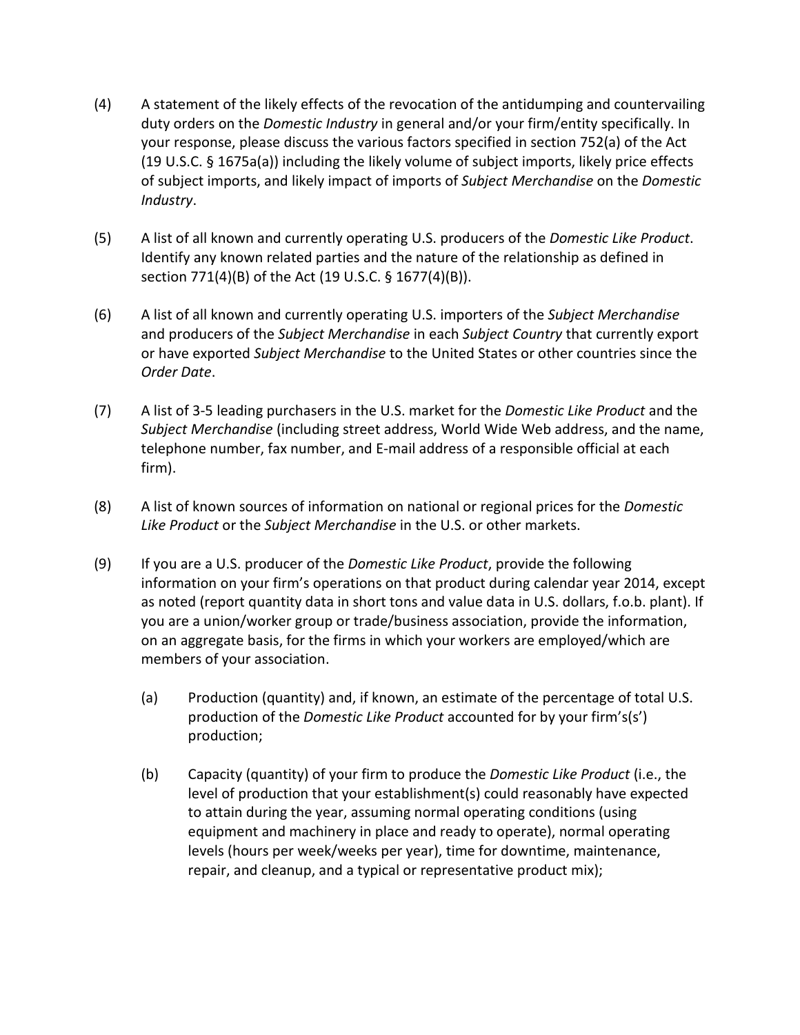- (4) A statement of the likely effects of the revocation of the antidumping and countervailing duty orders on the *Domestic Industry* in general and/or your firm/entity specifically. In your response, please discuss the various factors specified in section 752(a) of the Act (19 U.S.C. § 1675a(a)) including the likely volume of subject imports, likely price effects of subject imports, and likely impact of imports of *Subject Merchandise* on the *Domestic Industry*.
- (5) A list of all known and currently operating U.S. producers of the *Domestic Like Product*. Identify any known related parties and the nature of the relationship as defined in section 771(4)(B) of the Act (19 U.S.C. § 1677(4)(B)).
- (6) A list of all known and currently operating U.S. importers of the *Subject Merchandise* and producers of the *Subject Merchandise* in each *Subject Country* that currently export or have exported *Subject Merchandise* to the United States or other countries since the *Order Date*.
- (7) A list of 3-5 leading purchasers in the U.S. market for the *Domestic Like Product* and the *Subject Merchandise* (including street address, World Wide Web address, and the name, telephone number, fax number, and E-mail address of a responsible official at each firm).
- (8) A list of known sources of information on national or regional prices for the *Domestic Like Product* or the *Subject Merchandise* in the U.S. or other markets.
- (9) If you are a U.S. producer of the *Domestic Like Product*, provide the following information on your firm's operations on that product during calendar year 2014, except as noted (report quantity data in short tons and value data in U.S. dollars, f.o.b. plant). If you are a union/worker group or trade/business association, provide the information, on an aggregate basis, for the firms in which your workers are employed/which are members of your association.
	- (a) Production (quantity) and, if known, an estimate of the percentage of total U.S. production of the *Domestic Like Product* accounted for by your firm's(s') production;
	- (b) Capacity (quantity) of your firm to produce the *Domestic Like Product* (i.e., the level of production that your establishment(s) could reasonably have expected to attain during the year, assuming normal operating conditions (using equipment and machinery in place and ready to operate), normal operating levels (hours per week/weeks per year), time for downtime, maintenance, repair, and cleanup, and a typical or representative product mix);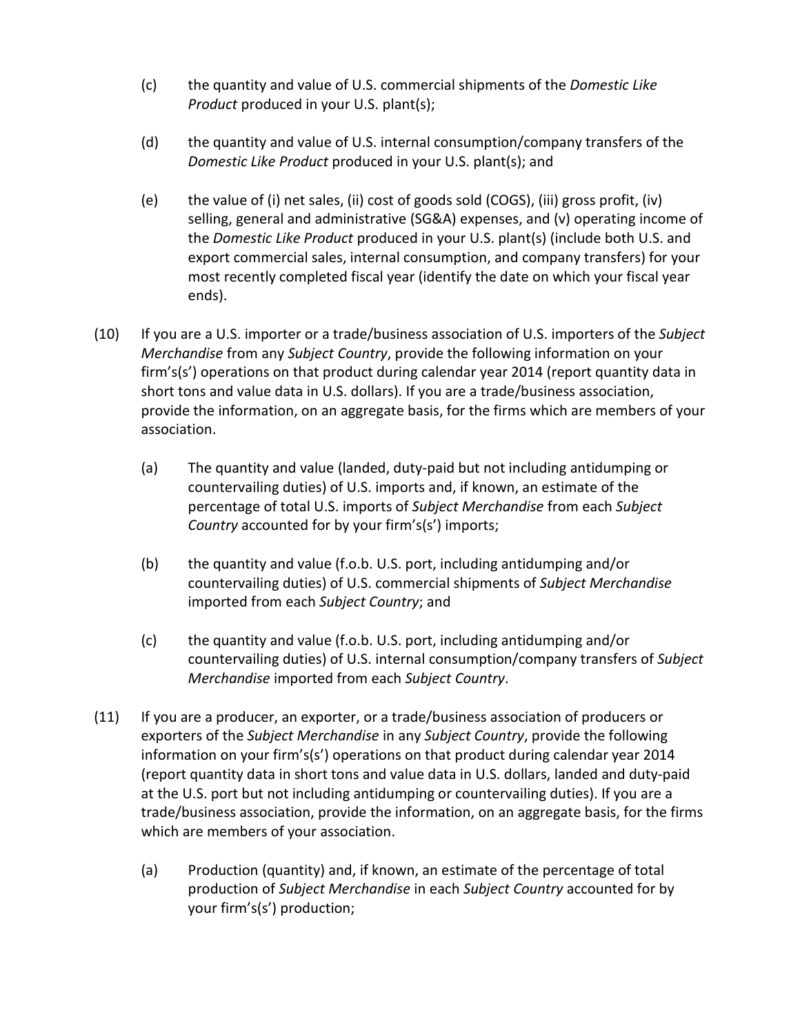- (c) the quantity and value of U.S. commercial shipments of the *Domestic Like Product* produced in your U.S. plant(s);
- (d) the quantity and value of U.S. internal consumption/company transfers of the *Domestic Like Product* produced in your U.S. plant(s); and
- (e) the value of (i) net sales, (ii) cost of goods sold (COGS), (iii) gross profit, (iv) selling, general and administrative (SG&A) expenses, and (v) operating income of the *Domestic Like Product* produced in your U.S. plant(s) (include both U.S. and export commercial sales, internal consumption, and company transfers) for your most recently completed fiscal year (identify the date on which your fiscal year ends).
- (10) If you are a U.S. importer or a trade/business association of U.S. importers of the *Subject Merchandise* from any *Subject Country*, provide the following information on your firm's(s') operations on that product during calendar year 2014 (report quantity data in short tons and value data in U.S. dollars). If you are a trade/business association, provide the information, on an aggregate basis, for the firms which are members of your association.
	- (a) The quantity and value (landed, duty-paid but not including antidumping or countervailing duties) of U.S. imports and, if known, an estimate of the percentage of total U.S. imports of *Subject Merchandise* from each *Subject Country* accounted for by your firm's(s') imports;
	- (b) the quantity and value (f.o.b. U.S. port, including antidumping and/or countervailing duties) of U.S. commercial shipments of *Subject Merchandise* imported from each *Subject Country*; and
	- (c) the quantity and value (f.o.b. U.S. port, including antidumping and/or countervailing duties) of U.S. internal consumption/company transfers of *Subject Merchandise* imported from each *Subject Country*.
- (11) If you are a producer, an exporter, or a trade/business association of producers or exporters of the *Subject Merchandise* in any *Subject Country*, provide the following information on your firm's(s') operations on that product during calendar year 2014 (report quantity data in short tons and value data in U.S. dollars, landed and duty-paid at the U.S. port but not including antidumping or countervailing duties). If you are a trade/business association, provide the information, on an aggregate basis, for the firms which are members of your association.
	- (a) Production (quantity) and, if known, an estimate of the percentage of total production of *Subject Merchandise* in each *Subject Country* accounted for by your firm's(s') production;